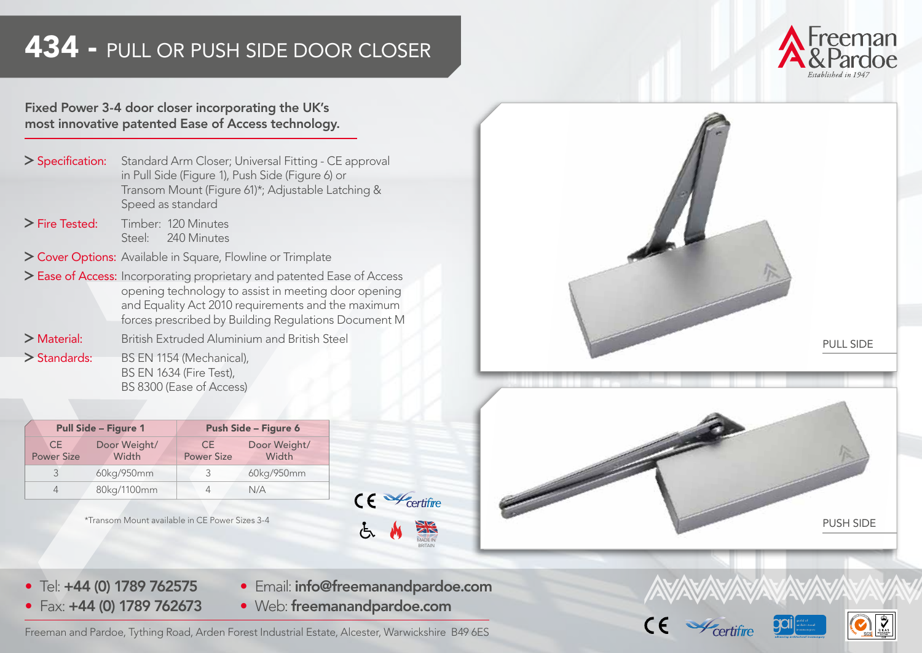# 434 - PULL OR PUSH SIDE DOOR CLOSER



#### Fixed Power 3-4 door closer incorporating the UK's most innovative patented Ease of Access technology.

| Standard Arm Closer; Universal Fitting - CE approval                                                                       |
|----------------------------------------------------------------------------------------------------------------------------|
| in Pull Side (Figure 1), Push Side (Figure 6) or<br>Transom Mount (Figure 61)*; Adjustable Latching &<br>Speed as standard |
|                                                                                                                            |

- Fire Tested: Timber: 120 Minutes Steel: 240 Minutes
- > Cover Options: Available in Square, Flowline or Trimplate
- > Ease of Access: Incorporating proprietary and patented Ease of Access opening technology to assist in meeting door opening and Equality Act 2010 requirements and the maximum forces prescribed by Building Regulations Document M
- Material: British Extruded Aluminium and British Steel
- > Standards: BS EN 1154 (Mechanical), BS EN 1634 (Fire Test), BS 8300 (Ease of Access)

|                          | <b>Pull Side - Figure 1</b> | Push Side - Figure 6     |                       |  |
|--------------------------|-----------------------------|--------------------------|-----------------------|--|
| CE.<br><b>Power Size</b> | Door Weight/<br>Width       | CE.<br><b>Power Size</b> | Door Weight/<br>Width |  |
|                          | 60kg/950mm                  | ς                        | 60kg/950mm            |  |
|                          | 80kg/1100mm                 |                          | N/A                   |  |



- Tel: +44 (0) 1789 762575 • Fax: +44 (0) 1789 762673
- Email: info@freemanandpardoe.com • Web: freemanandpardoe.com

Freeman and Pardoe, Tything Road, Arden Forest Industrial Estate, Alcester, Warwickshire B49 6ES



Certifire